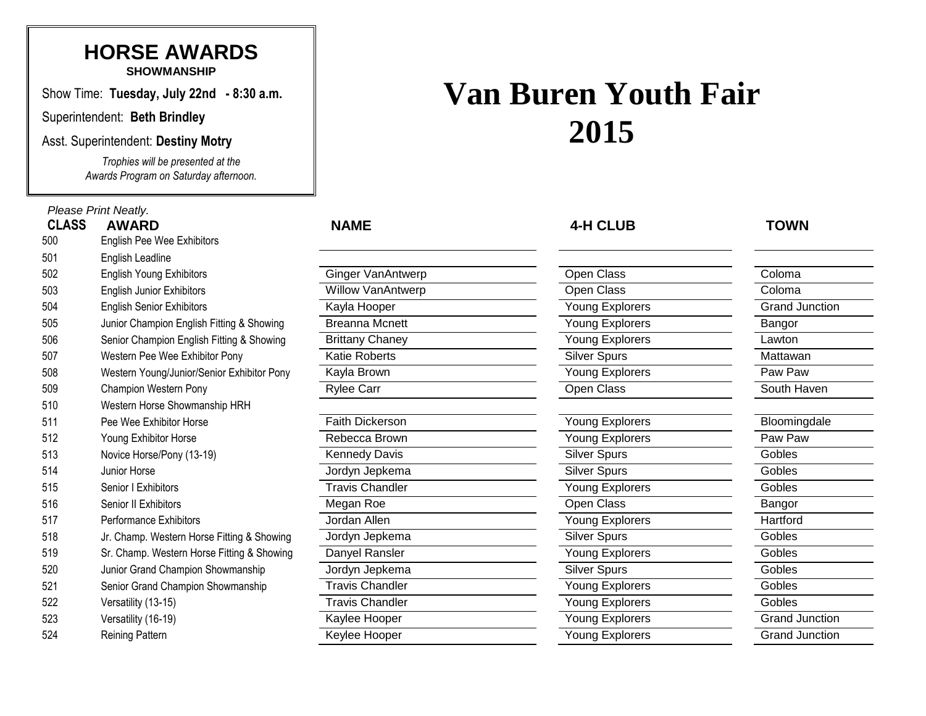## **HORSE AWARDS SHOWMANSHIP**

Show Time: **Tuesday, July 22nd - 8:30 a.m.**

Superintendent: **Beth Brindley**

Asst. Superintendent: **Destiny Motry**

*Trophies will be presented at the Awards Program on Saturday afternoon.*

*Please Print Neatly.*

| <b>CLASS</b><br>500 | <b>AWARD</b><br>English Pee Wee Exhibitors | <b>NAME</b>              | <b>4-H CLUB</b>        | <b>TOWN</b>           |
|---------------------|--------------------------------------------|--------------------------|------------------------|-----------------------|
|                     |                                            |                          |                        |                       |
| 501                 | English Leadline                           |                          |                        |                       |
| 502                 | <b>English Young Exhibitors</b>            | <b>Ginger VanAntwerp</b> | Open Class             | Coloma                |
| 503                 | <b>English Junior Exhibitors</b>           | <b>Willow VanAntwerp</b> | <b>Open Class</b>      | Coloma                |
| 504                 | <b>English Senior Exhibitors</b>           | Kayla Hooper             | <b>Young Explorers</b> | Grand Junction        |
| 505                 | Junior Champion English Fitting & Showing  | <b>Breanna Mcnett</b>    | Young Explorers        | Bangor                |
| 506                 | Senior Champion English Fitting & Showing  | <b>Brittany Chaney</b>   | Young Explorers        | Lawton                |
| 507                 | Western Pee Wee Exhibitor Pony             | <b>Katie Roberts</b>     | <b>Silver Spurs</b>    | Mattawan              |
| 508                 | Western Young/Junior/Senior Exhibitor Pony | Kayla Brown              | Young Explorers        | Paw Paw               |
| 509                 | Champion Western Pony                      | <b>Rylee Carr</b>        | Open Class             | South Haven           |
| 510                 | Western Horse Showmanship HRH              |                          |                        |                       |
| 511                 | Pee Wee Exhibitor Horse                    | <b>Faith Dickerson</b>   | Young Explorers        | Bloomingdale          |
| 512                 | Young Exhibitor Horse                      | Rebecca Brown            | Young Explorers        | Paw Paw               |
| 513                 | Novice Horse/Pony (13-19)                  | <b>Kennedy Davis</b>     | <b>Silver Spurs</b>    | Gobles                |
| 514                 | Junior Horse                               | Jordyn Jepkema           | <b>Silver Spurs</b>    | Gobles                |
| 515                 | Senior I Exhibitors                        | <b>Travis Chandler</b>   | Young Explorers        | Gobles                |
| 516                 | Senior II Exhibitors                       | Megan Roe                | Open Class             | Bangor                |
| 517                 | Performance Exhibitors                     | Jordan Allen             | <b>Young Explorers</b> | Hartford              |
| 518                 | Jr. Champ. Western Horse Fitting & Showing | Jordyn Jepkema           | <b>Silver Spurs</b>    | Gobles                |
| 519                 | Sr. Champ. Western Horse Fitting & Showing | Danyel Ransler           | Young Explorers        | Gobles                |
| 520                 | Junior Grand Champion Showmanship          | Jordyn Jepkema           | <b>Silver Spurs</b>    | Gobles                |
| 521                 | Senior Grand Champion Showmanship          | <b>Travis Chandler</b>   | Young Explorers        | Gobles                |
| 522                 | Versatility (13-15)                        | <b>Travis Chandler</b>   | Young Explorers        | Gobles                |
| 523                 | Versatility (16-19)                        | Kaylee Hooper            | Young Explorers        | <b>Grand Junction</b> |
| 524                 | Reining Pattern                            | Keylee Hooper            | <b>Young Explorers</b> | <b>Grand Junction</b> |

## **Van Buren Youth Fair**

| Ginger VanAntwerp        |
|--------------------------|
| <b>Willow VanAntwerp</b> |
| Kayla Hooper             |
| <b>Breanna Mcnett</b>    |
| <b>Brittany Chaney</b>   |
| <b>Katie Roberts</b>     |
| Kayla Brown              |
| <b>Rylee Carr</b>        |
|                          |
| <b>Faith Dickerson</b>   |
| Rebecca Brown            |
| Kennedy Davis            |
| Jordyn Jepkema           |
| <b>Travis Chandler</b>   |
| Megan Roe                |
| Jordan Allen             |
| Jordyn Jepkema           |
| Danyel Ransler           |
| Jordyn Jepkema           |
| <b>Travis Chandler</b>   |
| <b>Travis Chandler</b>   |
| Kaylee Hooper            |
| Kovloo Hoopor            |

| <b>Open Class</b>      |
|------------------------|
| Open Class             |
| <b>Young Explorers</b> |
| <b>Young Explorers</b> |
| Young Explorers        |
| <b>Silver Spurs</b>    |
| <b>Young Explorers</b> |
| Open Class             |
|                        |
| <b>Young Explorers</b> |
| <b>Young Explorers</b> |
| Silver Spurs           |
| <b>Silver Spurs</b>    |
| <b>Young Explorers</b> |
| Open Class             |
| <b>Young Explorers</b> |
| <b>Silver Spurs</b>    |
| <b>Young Explorers</b> |
| <b>Silver Spurs</b>    |
| <b>Young Explorers</b> |
| <b>Young Explorers</b> |
| <b>Young Explorers</b> |
| Young Explorers        |

| اهloma       |
|--------------|
| اهloma       |
| and Junction |
| ingor        |
| wton         |
| attawan      |
| w Paw        |

| Bloomingdale          |
|-----------------------|
| Paw Paw               |
| Gobles                |
| Gobles                |
| Gobles                |
| Bangor                |
| Hartford              |
| Gobles                |
| Gobles                |
| Gobles                |
| Gobles                |
| Gobles                |
| <b>Grand Junction</b> |
| Grand Junction        |